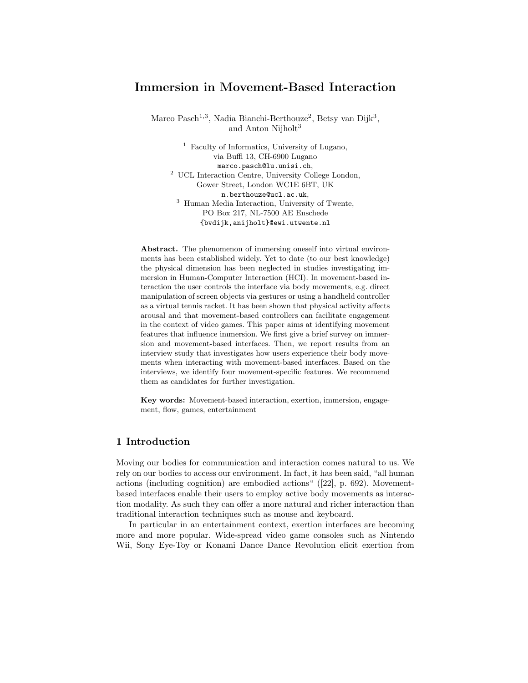# Immersion in Movement-Based Interaction

Marco Pasch<sup>1,3</sup>, Nadia Bianchi-Berthouze<sup>2</sup>, Betsy van Dijk<sup>3</sup>, and Anton Nijholt<sup>3</sup>

<sup>1</sup> Faculty of Informatics, University of Lugano, via Buffi 13, CH-6900 Lugano marco.pasch@lu.unisi.ch, <sup>2</sup> UCL Interaction Centre, University College London, Gower Street, London WC1E 6BT, UK n.berthouze@ucl.ac.uk, <sup>3</sup> Human Media Interaction, University of Twente, PO Box 217, NL-7500 AE Enschede {bvdijk,anijholt}@ewi.utwente.nl

Abstract. The phenomenon of immersing oneself into virtual environments has been established widely. Yet to date (to our best knowledge) the physical dimension has been neglected in studies investigating immersion in Human-Computer Interaction (HCI). In movement-based interaction the user controls the interface via body movements, e.g. direct manipulation of screen objects via gestures or using a handheld controller as a virtual tennis racket. It has been shown that physical activity affects arousal and that movement-based controllers can facilitate engagement in the context of video games. This paper aims at identifying movement features that influence immersion. We first give a brief survey on immersion and movement-based interfaces. Then, we report results from an interview study that investigates how users experience their body movements when interacting with movement-based interfaces. Based on the interviews, we identify four movement-specific features. We recommend them as candidates for further investigation.

Key words: Movement-based interaction, exertion, immersion, engagement, flow, games, entertainment

# 1 Introduction

Moving our bodies for communication and interaction comes natural to us. We rely on our bodies to access our environment. In fact, it has been said, "all human actions (including cognition) are embodied actions" ([22], p. 692). Movementbased interfaces enable their users to employ active body movements as interaction modality. As such they can offer a more natural and richer interaction than traditional interaction techniques such as mouse and keyboard.

In particular in an entertainment context, exertion interfaces are becoming more and more popular. Wide-spread video game consoles such as Nintendo Wii, Sony Eye-Toy or Konami Dance Dance Revolution elicit exertion from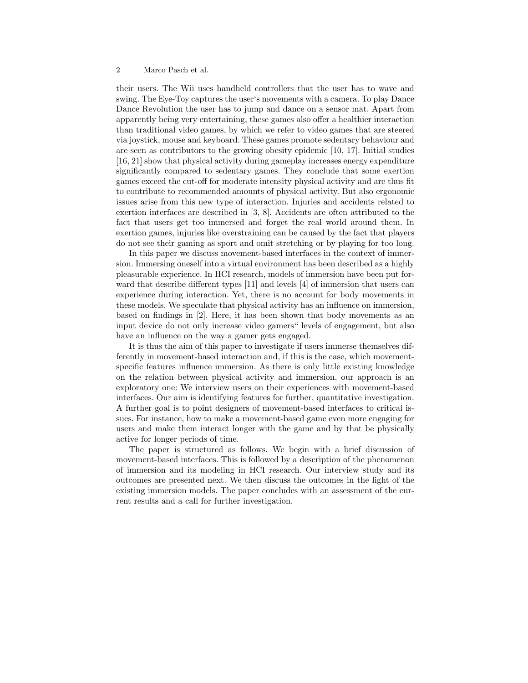their users. The Wii uses handheld controllers that the user has to wave and swing. The Eye-Toy captures the user's movements with a camera. To play Dance Dance Revolution the user has to jump and dance on a sensor mat. Apart from apparently being very entertaining, these games also offer a healthier interaction than traditional video games, by which we refer to video games that are steered via joystick, mouse and keyboard. These games promote sedentary behaviour and are seen as contributors to the growing obesity epidemic [10, 17]. Initial studies [16, 21] show that physical activity during gameplay increases energy expenditure significantly compared to sedentary games. They conclude that some exertion games exceed the cut-off for moderate intensity physical activity and are thus fit to contribute to recommended amounts of physical activity. But also ergonomic issues arise from this new type of interaction. Injuries and accidents related to exertion interfaces are described in [3, 8]. Accidents are often attributed to the fact that users get too immersed and forget the real world around them. In exertion games, injuries like overstraining can be caused by the fact that players do not see their gaming as sport and omit stretching or by playing for too long.

In this paper we discuss movement-based interfaces in the context of immersion. Immersing oneself into a virtual environment has been described as a highly pleasurable experience. In HCI research, models of immersion have been put forward that describe different types [11] and levels [4] of immersion that users can experience during interaction. Yet, there is no account for body movements in these models. We speculate that physical activity has an influence on immersion, based on findings in [2]. Here, it has been shown that body movements as an input device do not only increase video gamers" levels of engagement, but also have an influence on the way a gamer gets engaged.

It is thus the aim of this paper to investigate if users immerse themselves differently in movement-based interaction and, if this is the case, which movementspecific features influence immersion. As there is only little existing knowledge on the relation between physical activity and immersion, our approach is an exploratory one: We interview users on their experiences with movement-based interfaces. Our aim is identifying features for further, quantitative investigation. A further goal is to point designers of movement-based interfaces to critical issues. For instance, how to make a movement-based game even more engaging for users and make them interact longer with the game and by that be physically active for longer periods of time.

The paper is structured as follows. We begin with a brief discussion of movement-based interfaces. This is followed by a description of the phenomenon of immersion and its modeling in HCI research. Our interview study and its outcomes are presented next. We then discuss the outcomes in the light of the existing immersion models. The paper concludes with an assessment of the current results and a call for further investigation.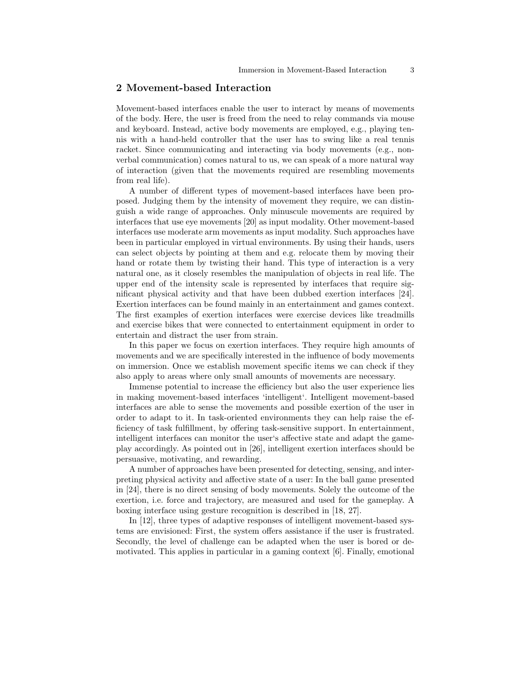# 2 Movement-based Interaction

Movement-based interfaces enable the user to interact by means of movements of the body. Here, the user is freed from the need to relay commands via mouse and keyboard. Instead, active body movements are employed, e.g., playing tennis with a hand-held controller that the user has to swing like a real tennis racket. Since communicating and interacting via body movements (e.g., nonverbal communication) comes natural to us, we can speak of a more natural way of interaction (given that the movements required are resembling movements from real life).

A number of different types of movement-based interfaces have been proposed. Judging them by the intensity of movement they require, we can distinguish a wide range of approaches. Only minuscule movements are required by interfaces that use eye movements [20] as input modality. Other movement-based interfaces use moderate arm movements as input modality. Such approaches have been in particular employed in virtual environments. By using their hands, users can select objects by pointing at them and e.g. relocate them by moving their hand or rotate them by twisting their hand. This type of interaction is a very natural one, as it closely resembles the manipulation of objects in real life. The upper end of the intensity scale is represented by interfaces that require significant physical activity and that have been dubbed exertion interfaces [24]. Exertion interfaces can be found mainly in an entertainment and games context. The first examples of exertion interfaces were exercise devices like treadmills and exercise bikes that were connected to entertainment equipment in order to entertain and distract the user from strain.

In this paper we focus on exertion interfaces. They require high amounts of movements and we are specifically interested in the influence of body movements on immersion. Once we establish movement specific items we can check if they also apply to areas where only small amounts of movements are necessary.

Immense potential to increase the efficiency but also the user experience lies in making movement-based interfaces 'intelligent'. Intelligent movement-based interfaces are able to sense the movements and possible exertion of the user in order to adapt to it. In task-oriented environments they can help raise the efficiency of task fulfillment, by offering task-sensitive support. In entertainment, intelligent interfaces can monitor the user's affective state and adapt the gameplay accordingly. As pointed out in [26], intelligent exertion interfaces should be persuasive, motivating, and rewarding.

A number of approaches have been presented for detecting, sensing, and interpreting physical activity and affective state of a user: In the ball game presented in [24], there is no direct sensing of body movements. Solely the outcome of the exertion, i.e. force and trajectory, are measured and used for the gameplay. A boxing interface using gesture recognition is described in [18, 27].

In [12], three types of adaptive responses of intelligent movement-based systems are envisioned: First, the system offers assistance if the user is frustrated. Secondly, the level of challenge can be adapted when the user is bored or demotivated. This applies in particular in a gaming context [6]. Finally, emotional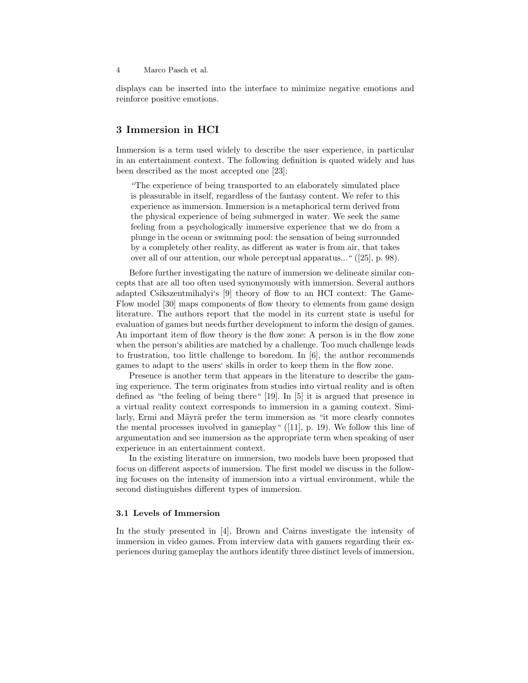displays can be inserted into the interface to minimize negative emotions and reinforce positive emotions.

# 3 Immersion in HCI

Immersion is a term used widely to describe the user experience, in particular in an entertainment context. The following definition is quoted widely and has been described as the most accepted one [23]:

"The experience of being transported to an elaborately simulated place is pleasurable in itself, regardless of the fantasy content. We refer to this experience as immersion. Immersion is a metaphorical term derived from the physical experience of being submerged in water. We seek the same feeling from a psychologically immersive experience that we do from a plunge in the ocean or swimming pool: the sensation of being surrounded by a completely other reality, as different as water is from air, that takes over all of our attention, our whole perceptual apparatus..." ([25], p. 98).

Before further investigating the nature of immersion we delineate similar concepts that are all too often used synonymously with immersion. Several authors adapted Csikszentmihalyi's [9] theory of flow to an HCI context: The Game-Flow model [30] maps components of flow theory to elements from game design literature. The authors report that the model in its current state is useful for evaluation of games but needs further development to inform the design of games. An important item of flow theory is the flow zone: A person is in the flow zone when the person's abilities are matched by a challenge. Too much challenge leads to frustration, too little challenge to boredom. In [6], the author recommends games to adapt to the users' skills in order to keep them in the flow zone.

Presence is another term that appears in the literature to describe the gaming experience. The term originates from studies into virtual reality and is often defined as "the feeling of being there" [19]. In [5] it is argued that presence in a virtual reality context corresponds to immersion in a gaming context. Similarly, Ermi and Mäyrä prefer the term immersion as "it more clearly connotes the mental processes involved in gameplay" ([11], p. 19). We follow this line of argumentation and see immersion as the appropriate term when speaking of user experience in an entertainment context.

In the existing literature on immersion, two models have been proposed that focus on different aspects of immersion. The first model we discuss in the following focuses on the intensity of immersion into a virtual environment, while the second distinguishes different types of immersion.

### 3.1 Levels of Immersion

In the study presented in [4], Brown and Cairns investigate the intensity of immersion in video games. From interview data with gamers regarding their experiences during gameplay the authors identify three distinct levels of immersion,

<sup>4</sup> Marco Pasch et al.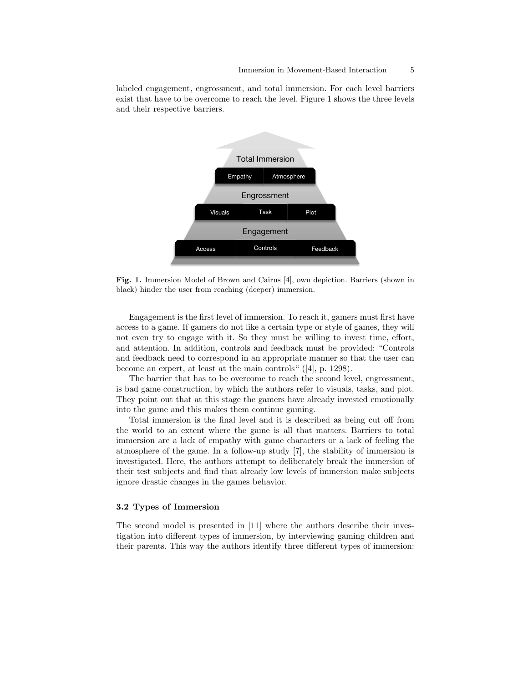labeled engagement, engrossment, and total immersion. For each level barriers exist that have to be overcome to reach the level. Figure 1 shows the three levels and their respective barriers.



Fig. 1. Immersion Model of Brown and Cairns [4], own depiction. Barriers (shown in black) hinder the user from reaching (deeper) immersion.

Engagement is the first level of immersion. To reach it, gamers must first have access to a game. If gamers do not like a certain type or style of games, they will not even try to engage with it. So they must be willing to invest time, effort, and attention. In addition, controls and feedback must be provided: "Controls and feedback need to correspond in an appropriate manner so that the user can become an expert, at least at the main controls" ([4], p. 1298).

The barrier that has to be overcome to reach the second level, engrossment, is bad game construction, by which the authors refer to visuals, tasks, and plot. They point out that at this stage the gamers have already invested emotionally into the game and this makes them continue gaming.

Total immersion is the final level and it is described as being cut off from the world to an extent where the game is all that matters. Barriers to total immersion are a lack of empathy with game characters or a lack of feeling the atmosphere of the game. In a follow-up study [7], the stability of immersion is investigated. Here, the authors attempt to deliberately break the immersion of their test subjects and find that already low levels of immersion make subjects ignore drastic changes in the games behavior.

#### 3.2 Types of Immersion

The second model is presented in [11] where the authors describe their investigation into different types of immersion, by interviewing gaming children and their parents. This way the authors identify three different types of immersion: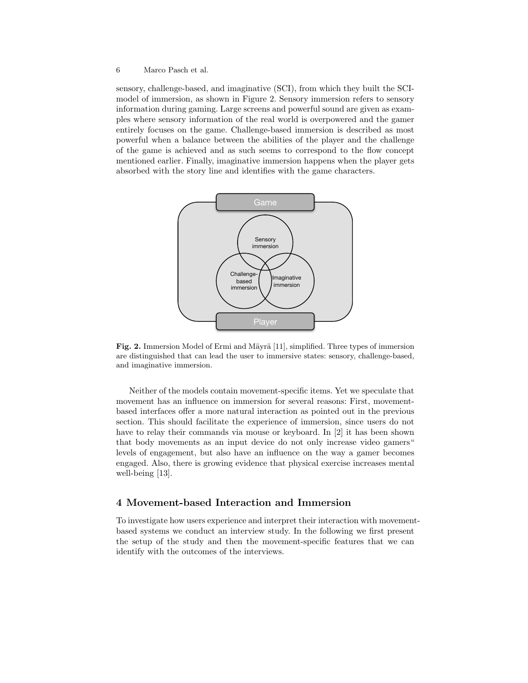sensory, challenge-based, and imaginative (SCI), from which they built the SCImodel of immersion, as shown in Figure 2. Sensory immersion refers to sensory information during gaming. Large screens and powerful sound are given as examples where sensory information of the real world is overpowered and the gamer entirely focuses on the game. Challenge-based immersion is described as most powerful when a balance between the abilities of the player and the challenge of the game is achieved and as such seems to correspond to the flow concept mentioned earlier. Finally, imaginative immersion happens when the player gets absorbed with the story line and identifies with the game characters.



Fig. 2. Immersion Model of Ermi and Mäyrä [11], simplified. Three types of immersion are distinguished that can lead the user to immersive states: sensory, challenge-based, and imaginative immersion.

Neither of the models contain movement-specific items. Yet we speculate that movement has an influence on immersion for several reasons: First, movementbased interfaces offer a more natural interaction as pointed out in the previous section. This should facilitate the experience of immersion, since users do not have to relay their commands via mouse or keyboard. In [2] it has been shown that body movements as an input device do not only increase video gamers" levels of engagement, but also have an influence on the way a gamer becomes engaged. Also, there is growing evidence that physical exercise increases mental well-being [13].

# 4 Movement-based Interaction and Immersion

To investigate how users experience and interpret their interaction with movementbased systems we conduct an interview study. In the following we first present the setup of the study and then the movement-specific features that we can identify with the outcomes of the interviews.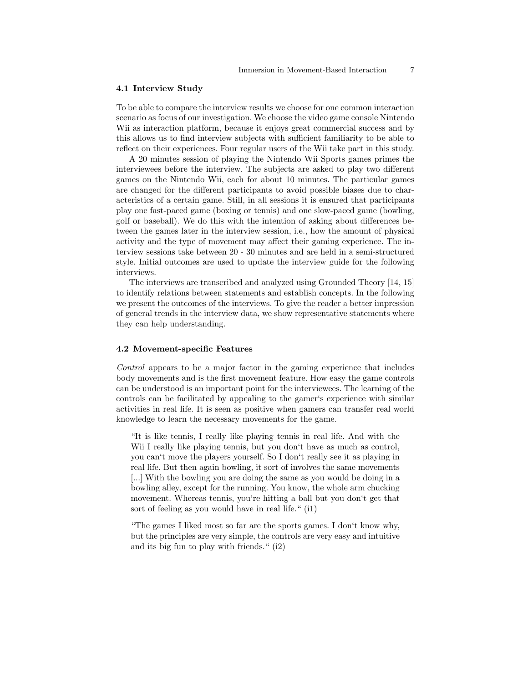#### 4.1 Interview Study

To be able to compare the interview results we choose for one common interaction scenario as focus of our investigation. We choose the video game console Nintendo Wii as interaction platform, because it enjoys great commercial success and by this allows us to find interview subjects with sufficient familiarity to be able to reflect on their experiences. Four regular users of the Wii take part in this study.

A 20 minutes session of playing the Nintendo Wii Sports games primes the interviewees before the interview. The subjects are asked to play two different games on the Nintendo Wii, each for about 10 minutes. The particular games are changed for the different participants to avoid possible biases due to characteristics of a certain game. Still, in all sessions it is ensured that participants play one fast-paced game (boxing or tennis) and one slow-paced game (bowling, golf or baseball). We do this with the intention of asking about differences between the games later in the interview session, i.e., how the amount of physical activity and the type of movement may affect their gaming experience. The interview sessions take between 20 - 30 minutes and are held in a semi-structured style. Initial outcomes are used to update the interview guide for the following interviews.

The interviews are transcribed and analyzed using Grounded Theory [14, 15] to identify relations between statements and establish concepts. In the following we present the outcomes of the interviews. To give the reader a better impression of general trends in the interview data, we show representative statements where they can help understanding.

#### 4.2 Movement-specific Features

*Control* appears to be a major factor in the gaming experience that includes body movements and is the first movement feature. How easy the game controls can be understood is an important point for the interviewees. The learning of the controls can be facilitated by appealing to the gamer's experience with similar activities in real life. It is seen as positive when gamers can transfer real world knowledge to learn the necessary movements for the game.

"It is like tennis, I really like playing tennis in real life. And with the Wii I really like playing tennis, but you don't have as much as control, you can't move the players yourself. So I don't really see it as playing in real life. But then again bowling, it sort of involves the same movements [...] With the bowling you are doing the same as you would be doing in a bowling alley, except for the running. You know, the whole arm chucking movement. Whereas tennis, you're hitting a ball but you don't get that sort of feeling as you would have in real life." (i1)

"The games I liked most so far are the sports games. I don't know why, but the principles are very simple, the controls are very easy and intuitive and its big fun to play with friends." (i2)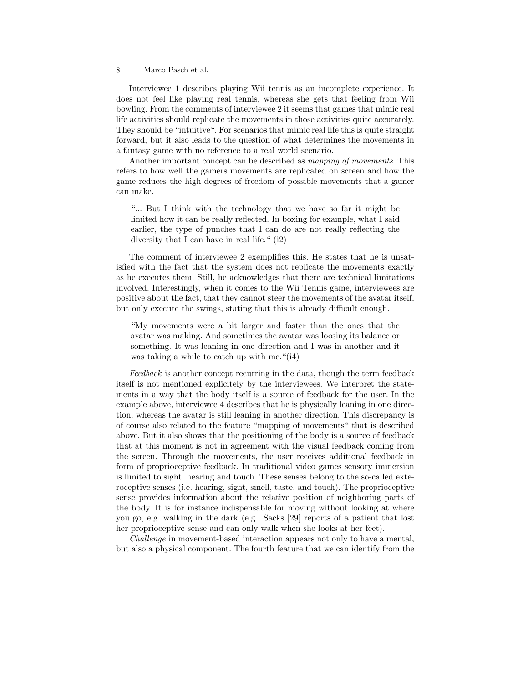Interviewee 1 describes playing Wii tennis as an incomplete experience. It does not feel like playing real tennis, whereas she gets that feeling from Wii bowling. From the comments of interviewee 2 it seems that games that mimic real life activities should replicate the movements in those activities quite accurately. They should be "intuitive". For scenarios that mimic real life this is quite straight forward, but it also leads to the question of what determines the movements in a fantasy game with no reference to a real world scenario.

Another important concept can be described as *mapping of movements*. This refers to how well the gamers movements are replicated on screen and how the game reduces the high degrees of freedom of possible movements that a gamer can make.

"... But I think with the technology that we have so far it might be limited how it can be really reflected. In boxing for example, what I said earlier, the type of punches that I can do are not really reflecting the diversity that I can have in real life." (i2)

The comment of interviewee 2 exemplifies this. He states that he is unsatisfied with the fact that the system does not replicate the movements exactly as he executes them. Still, he acknowledges that there are technical limitations involved. Interestingly, when it comes to the Wii Tennis game, interviewees are positive about the fact, that they cannot steer the movements of the avatar itself, but only execute the swings, stating that this is already difficult enough.

"My movements were a bit larger and faster than the ones that the avatar was making. And sometimes the avatar was loosing its balance or something. It was leaning in one direction and I was in another and it was taking a while to catch up with me."(i4)

*Feedback* is another concept recurring in the data, though the term feedback itself is not mentioned explicitely by the interviewees. We interpret the statements in a way that the body itself is a source of feedback for the user. In the example above, interviewee 4 describes that he is physically leaning in one direction, whereas the avatar is still leaning in another direction. This discrepancy is of course also related to the feature "mapping of movements" that is described above. But it also shows that the positioning of the body is a source of feedback that at this moment is not in agreement with the visual feedback coming from the screen. Through the movements, the user receives additional feedback in form of proprioceptive feedback. In traditional video games sensory immersion is limited to sight, hearing and touch. These senses belong to the so-called exteroceptive senses (i.e. hearing, sight, smell, taste, and touch). The proprioceptive sense provides information about the relative position of neighboring parts of the body. It is for instance indispensable for moving without looking at where you go, e.g. walking in the dark (e.g., Sacks [29] reports of a patient that lost her proprioceptive sense and can only walk when she looks at her feet).

*Challenge* in movement-based interaction appears not only to have a mental, but also a physical component. The fourth feature that we can identify from the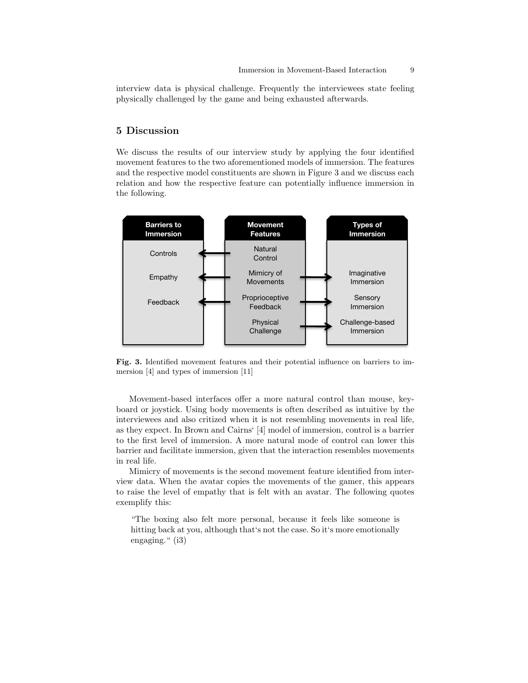interview data is physical challenge. Frequently the interviewees state feeling physically challenged by the game and being exhausted afterwards.

### 5 Discussion

We discuss the results of our interview study by applying the four identified movement features to the two aforementioned models of immersion. The features and the respective model constituents are shown in Figure 3 and we discuss each relation and how the respective feature can potentially influence immersion in the following.



Fig. 3. Identified movement features and their potential influence on barriers to immersion [4] and types of immersion [11]

Movement-based interfaces offer a more natural control than mouse, keyboard or joystick. Using body movements is often described as intuitive by the interviewees and also critized when it is not resembling movements in real life, as they expect. In Brown and Cairns' [4] model of immersion, control is a barrier to the first level of immersion. A more natural mode of control can lower this barrier and facilitate immersion, given that the interaction resembles movements in real life.

Mimicry of movements is the second movement feature identified from interview data. When the avatar copies the movements of the gamer, this appears to raise the level of empathy that is felt with an avatar. The following quotes exemplify this:

"The boxing also felt more personal, because it feels like someone is hitting back at you, although that's not the case. So it's more emotionally engaging." (i3)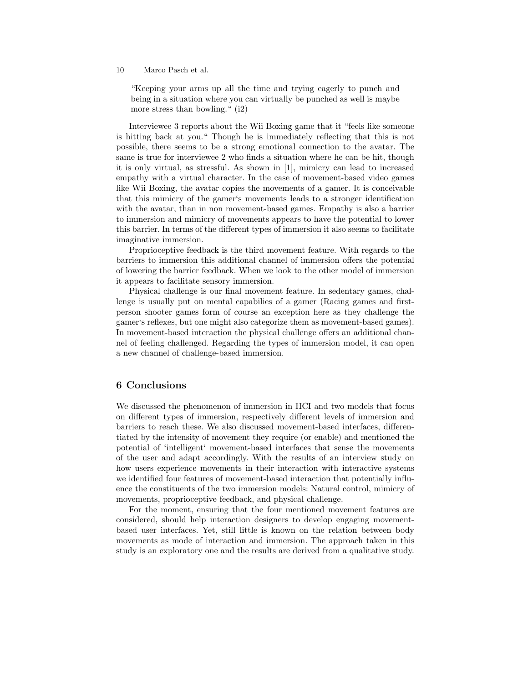"Keeping your arms up all the time and trying eagerly to punch and being in a situation where you can virtually be punched as well is maybe more stress than bowling." (i2)

Interviewee 3 reports about the Wii Boxing game that it "feels like someone is hitting back at you." Though he is immediately reflecting that this is not possible, there seems to be a strong emotional connection to the avatar. The same is true for interviewee 2 who finds a situation where he can be hit, though it is only virtual, as stressful. As shown in [1], mimicry can lead to increased empathy with a virtual character. In the case of movement-based video games like Wii Boxing, the avatar copies the movements of a gamer. It is conceivable that this mimicry of the gamer's movements leads to a stronger identification with the avatar, than in non movement-based games. Empathy is also a barrier to immersion and mimicry of movements appears to have the potential to lower this barrier. In terms of the different types of immersion it also seems to facilitate imaginative immersion.

Proprioceptive feedback is the third movement feature. With regards to the barriers to immersion this additional channel of immersion offers the potential of lowering the barrier feedback. When we look to the other model of immersion it appears to facilitate sensory immersion.

Physical challenge is our final movement feature. In sedentary games, challenge is usually put on mental capabilies of a gamer (Racing games and firstperson shooter games form of course an exception here as they challenge the gamer's reflexes, but one might also categorize them as movement-based games). In movement-based interaction the physical challenge offers an additional channel of feeling challenged. Regarding the types of immersion model, it can open a new channel of challenge-based immersion.

# 6 Conclusions

We discussed the phenomenon of immersion in HCI and two models that focus on different types of immersion, respectively different levels of immersion and barriers to reach these. We also discussed movement-based interfaces, differentiated by the intensity of movement they require (or enable) and mentioned the potential of 'intelligent' movement-based interfaces that sense the movements of the user and adapt accordingly. With the results of an interview study on how users experience movements in their interaction with interactive systems we identified four features of movement-based interaction that potentially influence the constituents of the two immersion models: Natural control, mimicry of movements, proprioceptive feedback, and physical challenge.

For the moment, ensuring that the four mentioned movement features are considered, should help interaction designers to develop engaging movementbased user interfaces. Yet, still little is known on the relation between body movements as mode of interaction and immersion. The approach taken in this study is an exploratory one and the results are derived from a qualitative study.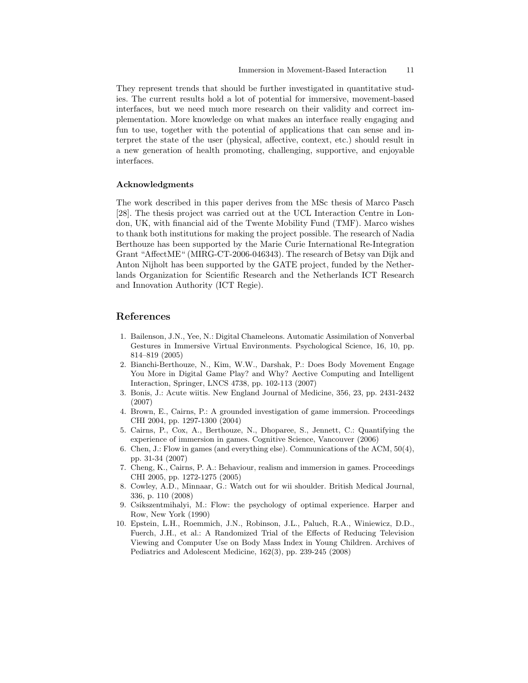They represent trends that should be further investigated in quantitative studies. The current results hold a lot of potential for immersive, movement-based interfaces, but we need much more research on their validity and correct implementation. More knowledge on what makes an interface really engaging and fun to use, together with the potential of applications that can sense and interpret the state of the user (physical, affective, context, etc.) should result in a new generation of health promoting, challenging, supportive, and enjoyable interfaces.

#### Acknowledgments

The work described in this paper derives from the MSc thesis of Marco Pasch [28]. The thesis project was carried out at the UCL Interaction Centre in London, UK, with financial aid of the Twente Mobility Fund (TMF). Marco wishes to thank both institutions for making the project possible. The research of Nadia Berthouze has been supported by the Marie Curie International Re-Integration Grant "AffectME" (MIRG-CT-2006-046343). The research of Betsy van Dijk and Anton Nijholt has been supported by the GATE project, funded by the Netherlands Organization for Scientific Research and the Netherlands ICT Research and Innovation Authority (ICT Regie).

## References

- 1. Bailenson, J.N., Yee, N.: Digital Chameleons. Automatic Assimilation of Nonverbal Gestures in Immersive Virtual Environments. Psychological Science, 16, 10, pp. 814–819 (2005)
- 2. Bianchi-Berthouze, N., Kim, W.W., Darshak, P.: Does Body Movement Engage You More in Digital Game Play? and Why? Aective Computing and Intelligent Interaction, Springer, LNCS 4738, pp. 102-113 (2007)
- 3. Bonis, J.: Acute wiitis. New England Journal of Medicine, 356, 23, pp. 2431-2432 (2007)
- 4. Brown, E., Cairns, P.: A grounded investigation of game immersion. Proceedings CHI 2004, pp. 1297-1300 (2004)
- 5. Cairns, P., Cox, A., Berthouze, N., Dhoparee, S., Jennett, C.: Quantifying the experience of immersion in games. Cognitive Science, Vancouver (2006)
- 6. Chen, J.: Flow in games (and everything else). Communications of the ACM, 50(4), pp. 31-34 (2007)
- 7. Cheng, K., Cairns, P. A.: Behaviour, realism and immersion in games. Proceedings CHI 2005, pp. 1272-1275 (2005)
- 8. Cowley, A.D., Minnaar, G.: Watch out for wii shoulder. British Medical Journal, 336, p. 110 (2008)
- 9. Csikszentmihalyi, M.: Flow: the psychology of optimal experience. Harper and Row, New York (1990)
- 10. Epstein, L.H., Roemmich, J.N., Robinson, J.L., Paluch, R.A., Winiewicz, D.D., Fuerch, J.H., et al.: A Randomized Trial of the Effects of Reducing Television Viewing and Computer Use on Body Mass Index in Young Children. Archives of Pediatrics and Adolescent Medicine, 162(3), pp. 239-245 (2008)